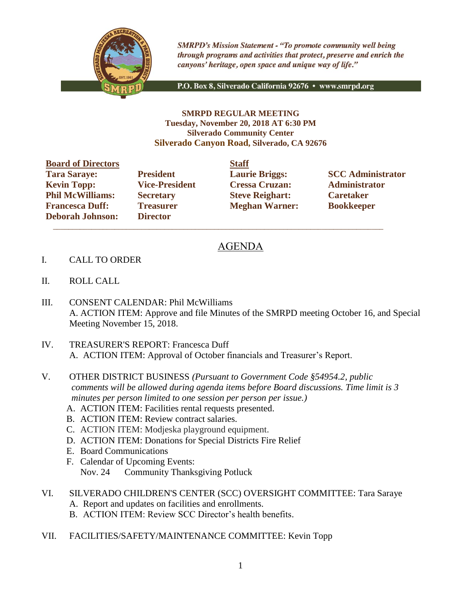

**SMRPD's Mission Statement - "To promote community well being** through programs and activities that protect, preserve and enrich the canyons' heritage, open space and unique way of life."

P.O. Box 8, Silverado California 92676 · www.smrpd.org

## **SMRPD REGULAR MEETING Tuesday, November 20, 2018 AT 6:30 PM Silverado Community Center Silverado Canyon Road, Silverado, CA 92676**

| <b>Board of Directors</b> |                       | <b>Staff</b> |
|---------------------------|-----------------------|--------------|
| <b>Tara Saraye:</b>       | <b>President</b>      | Laur         |
| <b>Kevin Topp:</b>        | <b>Vice-President</b> | <b>Cres</b>  |
| <b>Phil McWilliams:</b>   | <b>Secretary</b>      | <b>Steve</b> |
| <b>Francesca Duff:</b>    | <b>Treasurer</b>      | Megl         |
| <b>Deborah Johnson:</b>   | <b>Director</b>       |              |

**Director**  $\overline{\phantom{a}}$  ,  $\overline{\phantom{a}}$  ,  $\overline{\phantom{a}}$  ,  $\overline{\phantom{a}}$  ,  $\overline{\phantom{a}}$  ,  $\overline{\phantom{a}}$  ,  $\overline{\phantom{a}}$  ,  $\overline{\phantom{a}}$  ,  $\overline{\phantom{a}}$  ,  $\overline{\phantom{a}}$  ,  $\overline{\phantom{a}}$  ,  $\overline{\phantom{a}}$  ,  $\overline{\phantom{a}}$  ,  $\overline{\phantom{a}}$  ,  $\overline{\phantom{a}}$  ,  $\overline{\phantom{a}}$ 

**Kevin Topps: Vice-President Cressa Cruzan: Administrator Phillip Caretary Philosopheric Steve Reighart: Caretaker Freasurer Meghan Warner: Bookkeeper** 

**Tarage: President Laurie Briggs: SCC Administrator** 

## AGENDA

- I. CALL TO ORDER
- II. ROLL CALL
- III. CONSENT CALENDAR: Phil McWilliams A. ACTION ITEM: Approve and file Minutes of the SMRPD meeting October 16, and Special Meeting November 15, 2018.
- IV. TREASURER'S REPORT: Francesca Duff A. ACTION ITEM: Approval of October financials and Treasurer's Report.
- V. OTHER DISTRICT BUSINESS *(Pursuant to Government Code §54954.2, public comments will be allowed during agenda items before Board discussions. Time limit is 3 minutes per person limited to one session per person per issue.)*
	- A. ACTION ITEM: Facilities rental requests presented.
	- B. ACTION ITEM: Review contract salaries.
	- C. ACTION ITEM: Modjeska playground equipment.
	- D. ACTION ITEM: Donations for Special Districts Fire Relief
	- E. Board Communications
	- F. Calendar of Upcoming Events: Nov. 24 Community Thanksgiving Potluck
- VI. SILVERADO CHILDREN'S CENTER (SCC) OVERSIGHT COMMITTEE: Tara Saraye A. Report and updates on facilities and enrollments.
	- B. ACTION ITEM: Review SCC Director's health benefits.
- VII. FACILITIES/SAFETY/MAINTENANCE COMMITTEE: Kevin Topp